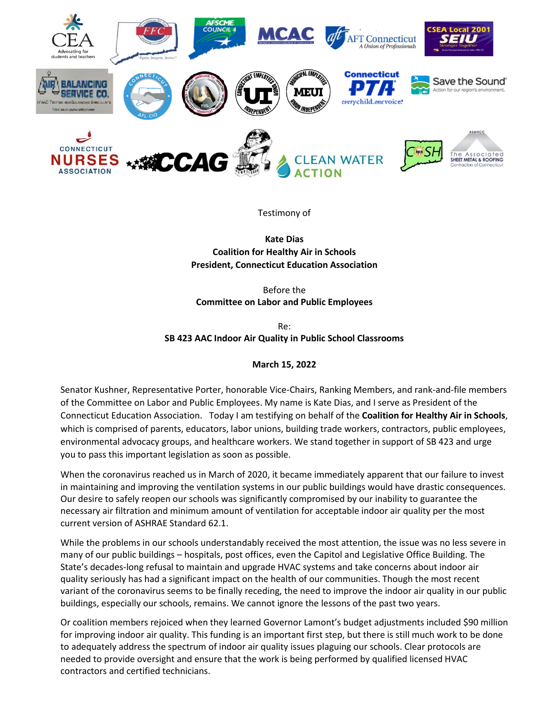

Testimony of

**Kate Dias Coalition for Healthy Air in Schools President, Connecticut Education Association**

Before the **Committee on Labor and Public Employees**

Re: **SB 423 AAC Indoor Air Quality in Public School Classrooms**

## **March 15, 2022**

Senator Kushner, Representative Porter, honorable Vice-Chairs, Ranking Members, and rank-and-file members of the Committee on Labor and Public Employees. My name is Kate Dias, and I serve as President of the Connecticut Education Association. Today I am testifying on behalf of the **Coalition for Healthy Air in Schools**, which is comprised of parents, educators, labor unions, building trade workers, contractors, public employees, environmental advocacy groups, and healthcare workers. We stand together in support of SB 423 and urge you to pass this important legislation as soon as possible.

When the coronavirus reached us in March of 2020, it became immediately apparent that our failure to invest in maintaining and improving the ventilation systems in our public buildings would have drastic consequences. Our desire to safely reopen our schools was significantly compromised by our inability to guarantee the necessary air filtration and minimum amount of ventilation for acceptable indoor air quality per the most current version of ASHRAE Standard 62.1.

While the problems in our schools understandably received the most attention, the issue was no less severe in many of our public buildings – hospitals, post offices, even the Capitol and Legislative Office Building. The State's decades-long refusal to maintain and upgrade HVAC systems and take concerns about indoor air quality seriously has had a significant impact on the health of our communities. Though the most recent variant of the coronavirus seems to be finally receding, the need to improve the indoor air quality in our public buildings, especially our schools, remains. We cannot ignore the lessons of the past two years.

Or coalition members rejoiced when they learned Governor Lamont's budget adjustments included \$90 million for improving indoor air quality. This funding is an important first step, but there is still much work to be done to adequately address the spectrum of indoor air quality issues plaguing our schools. Clear protocols are needed to provide oversight and ensure that the work is being performed by qualified licensed HVAC contractors and certified technicians.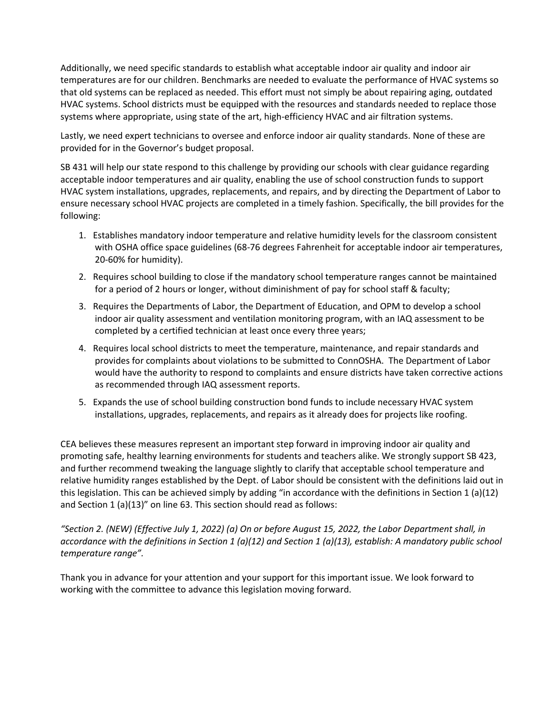Additionally, we need specific standards to establish what acceptable indoor air quality and indoor air temperatures are for our children. Benchmarks are needed to evaluate the performance of HVAC systems so that old systems can be replaced as needed. This effort must not simply be about repairing aging, outdated HVAC systems. School districts must be equipped with the resources and standards needed to replace those systems where appropriate, using state of the art, high-efficiency HVAC and air filtration systems.

Lastly, we need expert technicians to oversee and enforce indoor air quality standards. None of these are provided for in the Governor's budget proposal.

SB 431 will help our state respond to this challenge by providing our schools with clear guidance regarding acceptable indoor temperatures and air quality, enabling the use of school construction funds to support HVAC system installations, upgrades, replacements, and repairs, and by directing the Department of Labor to ensure necessary school HVAC projects are completed in a timely fashion. Specifically, the bill provides for the following:

- 1. Establishes mandatory indoor temperature and relative humidity levels for the classroom consistent with OSHA office space guidelines (68-76 degrees Fahrenheit for acceptable indoor air temperatures, 20-60% for humidity).
- 2. Requires school building to close if the mandatory school temperature ranges cannot be maintained for a period of 2 hours or longer, without diminishment of pay for school staff & faculty;
- 3. Requires the Departments of Labor, the Department of Education, and OPM to develop a school indoor air quality assessment and ventilation monitoring program, with an IAQ assessment to be completed by a certified technician at least once every three years;
- 4. Requires local school districts to meet the temperature, maintenance, and repair standards and provides for complaints about violations to be submitted to ConnOSHA. The Department of Labor would have the authority to respond to complaints and ensure districts have taken corrective actions as recommended through IAQ assessment reports.
- 5. Expands the use of school building construction bond funds to include necessary HVAC system installations, upgrades, replacements, and repairs as it already does for projects like roofing.

CEA believes these measures represent an important step forward in improving indoor air quality and promoting safe, healthy learning environments for students and teachers alike. We strongly support SB 423, and further recommend tweaking the language slightly to clarify that acceptable school temperature and relative humidity ranges established by the Dept. of Labor should be consistent with the definitions laid out in this legislation. This can be achieved simply by adding "in accordance with the definitions in Section 1 (a)(12) and Section 1 (a)(13)" on line 63. This section should read as follows:

*"Section 2. (NEW) (Effective July 1, 2022) (a) On or before August 15, 2022, the Labor Department shall, in accordance with the definitions in Section 1 (a)(12) and Section 1 (a)(13), establish: A mandatory public school temperature range".*

Thank you in advance for your attention and your support for this important issue. We look forward to working with the committee to advance this legislation moving forward.